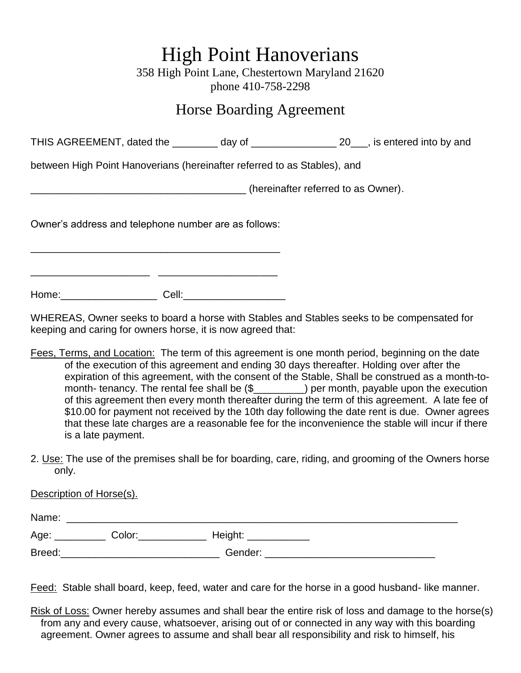## High Point Hanoverians

358 High Point Lane, Chestertown Maryland 21620 phone 410-758-2298

## Horse Boarding Agreement

THIS AGREEMENT, dated the \_\_\_\_\_\_\_\_ day of \_\_\_\_\_\_\_\_\_\_\_\_\_\_\_\_ 20\_\_\_, is entered into by and

between High Point Hanoverians (hereinafter referred to as Stables), and

\_\_\_\_\_\_\_\_\_\_\_\_\_\_\_\_\_\_\_\_\_\_\_\_\_\_\_\_\_\_\_\_\_\_\_\_\_\_ (hereinafter referred to as Owner).

Owner's address and telephone number are as follows:

\_\_\_\_\_\_\_\_\_\_\_\_\_\_\_\_\_\_\_\_\_\_\_\_\_\_\_\_\_\_\_\_\_\_\_\_\_\_\_\_\_\_\_\_

Home:\_\_\_\_\_\_\_\_\_\_\_\_\_\_\_\_\_ Cell:\_\_\_\_\_\_\_\_\_\_\_\_\_\_\_\_\_\_

Description of Horse(s).

\_\_\_\_\_\_\_\_\_\_\_\_\_\_\_\_\_\_\_\_\_ \_\_\_\_\_\_\_\_\_\_\_\_\_\_\_\_\_\_\_\_\_

WHEREAS, Owner seeks to board a horse with Stables and Stables seeks to be compensated for keeping and caring for owners horse, it is now agreed that:

Fees, Terms, and Location: The term of this agreement is one month period, beginning on the date of the execution of this agreement and ending 30 days thereafter. Holding over after the expiration of this agreement, with the consent of the Stable, Shall be construed as a month-tomonth- tenancy. The rental fee shall be (\$\_\_\_\_\_\_\_\_\_) per month, payable upon the execution of this agreement then every month thereafter during the term of this agreement. A late fee of \$10.00 for payment not received by the 10th day following the date rent is due. Owner agrees that these late charges are a reasonable fee for the inconvenience the stable will incur if there is a late payment.

2. Use: The use of the premises shall be for boarding, care, riding, and grooming of the Owners horse only.

| Name:  |        |         |  |
|--------|--------|---------|--|
| Age:   | Color: | Height: |  |
| Breed: |        | Gender: |  |

Feed: Stable shall board, keep, feed, water and care for the horse in a good husband- like manner.

Risk of Loss: Owner hereby assumes and shall bear the entire risk of loss and damage to the horse(s) from any and every cause, whatsoever, arising out of or connected in any way with this boarding agreement. Owner agrees to assume and shall bear all responsibility and risk to himself, his